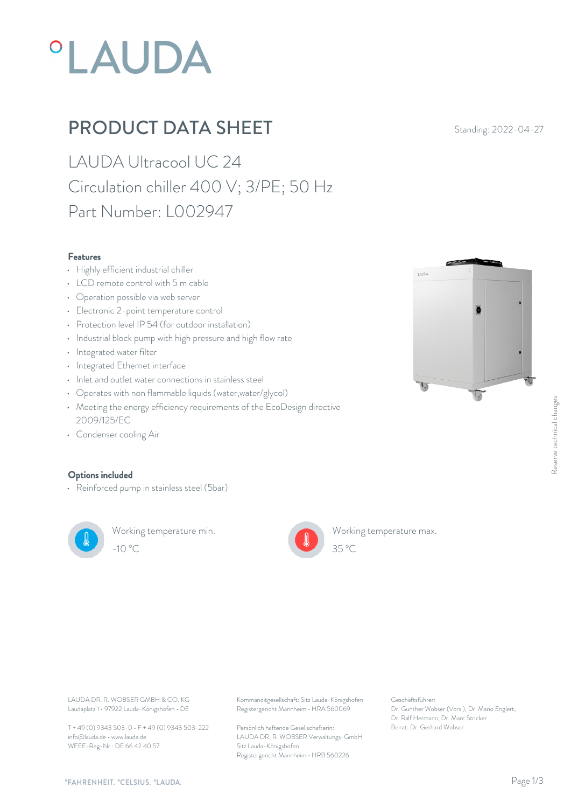# *OLAUDA*

## PRODUCT DATA SHEET Standing: 2022-04-27

LAUDA Ultracool UC 24 Circulation chiller 400 V; 3/PE; 50 Hz Part Number: L002947

#### Features

- Highly efficient industrial chiller
- LCD remote control with 5 m cable
- Operation possible via web server
- Electronic 2-point temperature control
- Protection level IP 54 (for outdoor installation)
- Industrial block pump with high pressure and high flow rate
- Integrated water filter
- Integrated Ethernet interface
- Inlet and outlet water connections in stainless steel
- Operates with non flammable liquids (water,water/glycol)
- Meeting the energy efficiency requirements of the EcoDesign directive 2009/125/EC
- Condenser cooling Air

#### Options included

• Reinforced pump in stainless steel (5bar)



Working temperature min. -10 °C 35 °C



Working temperature max.

**OLALIDA** 



LAUDA DR. R. WOBSER GMBH & CO. KG Kommanditgesellschaft: Sitz Lauda-Königshofen Geschäftsführer: Registergericht Mannheim • HRA 560069

> Persönlich haftende Gesellschafterin: Beirat: Dr. Gerhard Wobse LAUDA DR. R. WOBSER Verwaltungs-GmbH Sitz Lauda-Königshofen Registergericht Mannheim • HRB 560226

Geschäftsführer: Dr. Gunther Wobser (Vors.), Dr. Mario Englert, Dr. Ralf Hermann, Dr. Marc Stricker Beschäftsführer:<br>Beischäftsführer:<br>Dr. Gunther Wobser (Vors.), Dr. Mario Englert,<br>Dr. Ralf Hermann, Dr. Marc Stricker<br>Beirat: Dr. Gerhard Wobser

 $35 \degree C$ 

info@lauda.de • www.lauda.de WEEE-Reg-Nr.: DE 66 42 40 57

Laudaplatz 1 • 97922 Lauda-Königshofen • DE

T + 49 (0) 9343 503-0 • F + 49 (0) 9343 503-222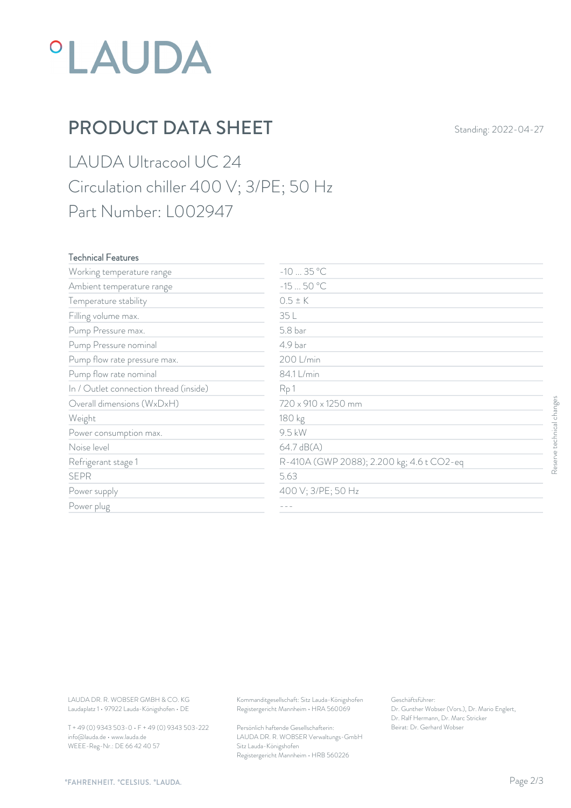

### PRODUCT DATA SHEET Standing: 2022-04-27

LAUDA Ultracool UC 24 Circulation chiller 400 V; 3/PE; 50 Hz Part Number: L002947

#### Technical Features

| Working temperature range                                                        | $-1035 °C$                                                                             |                                                                                                           |                           |
|----------------------------------------------------------------------------------|----------------------------------------------------------------------------------------|-----------------------------------------------------------------------------------------------------------|---------------------------|
| Ambient temperature range                                                        | $-1550 °C$                                                                             |                                                                                                           |                           |
| Temperature stability                                                            | $0.5 \pm K$                                                                            |                                                                                                           |                           |
| Filling volume max.                                                              | 35 L                                                                                   |                                                                                                           |                           |
| Pump Pressure max.                                                               | 5.8 bar                                                                                |                                                                                                           |                           |
| Pump Pressure nominal                                                            | 4.9 bar                                                                                |                                                                                                           |                           |
| Pump flow rate pressure max.                                                     | 200 L/min                                                                              |                                                                                                           |                           |
| Pump flow rate nominal                                                           | 84.1 L/min                                                                             |                                                                                                           |                           |
| In / Outlet connection thread (inside)                                           | Rp1                                                                                    |                                                                                                           |                           |
| Overall dimensions (WxDxH)                                                       | 720 x 910 x 1250 mm                                                                    |                                                                                                           |                           |
| Weight                                                                           | 180 kg                                                                                 |                                                                                                           |                           |
| Power consumption max.                                                           | 9.5 kW                                                                                 |                                                                                                           |                           |
| Noise level                                                                      | 64.7 dB(A)                                                                             |                                                                                                           | Reserve technical changes |
| Refrigerant stage 1                                                              | R-410A (GWP 2088); 2.200 kg; 4.6 t CO2-eq                                              |                                                                                                           |                           |
| <b>SEPR</b>                                                                      | 5.63                                                                                   |                                                                                                           |                           |
| Power supply                                                                     | 400 V; 3/PE; 50 Hz                                                                     |                                                                                                           |                           |
| Power plug                                                                       | $- - -$                                                                                |                                                                                                           |                           |
|                                                                                  |                                                                                        |                                                                                                           |                           |
| LAUDA DR. R. WOBSER GMBH & CO. KG<br>Laudaplatz 1 · 97922 Lauda-Königshofen · DE | Kommanditgesellschaft: Sitz Lauda-Königshofen<br>Registergericht Mannheim · HRA 560069 | Geschäftsführer:<br>Dr. Gunther Wobser (Vors.), Dr. Mario Englert,<br>Dr. Ralf Hermann, Dr. Marc Stricker |                           |
| T + 49 (0) 9343 503-0 · F + 49 (0) 9343 503-222                                  | Persönlich haftende Gesellschafterin:                                                  | Beirat: Dr. Gerhard Wobser                                                                                |                           |

T + 49 (0) 9343 503-0 • F + 49 (0) 9343 503-222 info@lauda.de • www.lauda.de WEEE-Reg-Nr.: DE 66 42 40 57

> Persönlich haftende Gesellschafterin: Beirat: Dr. Gerhard Wobser LAUDA DR. R. WOBSER Verwaltungs-GmbH Sitz Lauda-Königshofen Registergericht Mannheim • HRB 560226